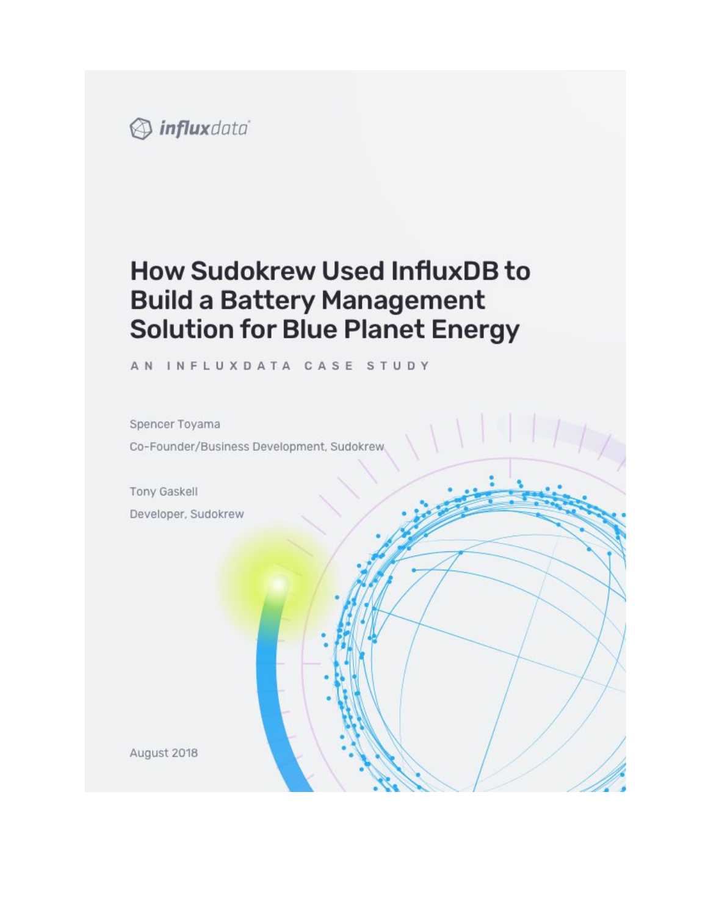

# **How Sudokrew Used InfluxDB to Build a Battery Management Solution for Blue Planet Energy**

AN INFLUXDATA CASE STUDY

Spencer Toyama Co-Founder/Business Development, Sudokrew,

**Tony Gaskell** Developer, Sudokrew

August 2018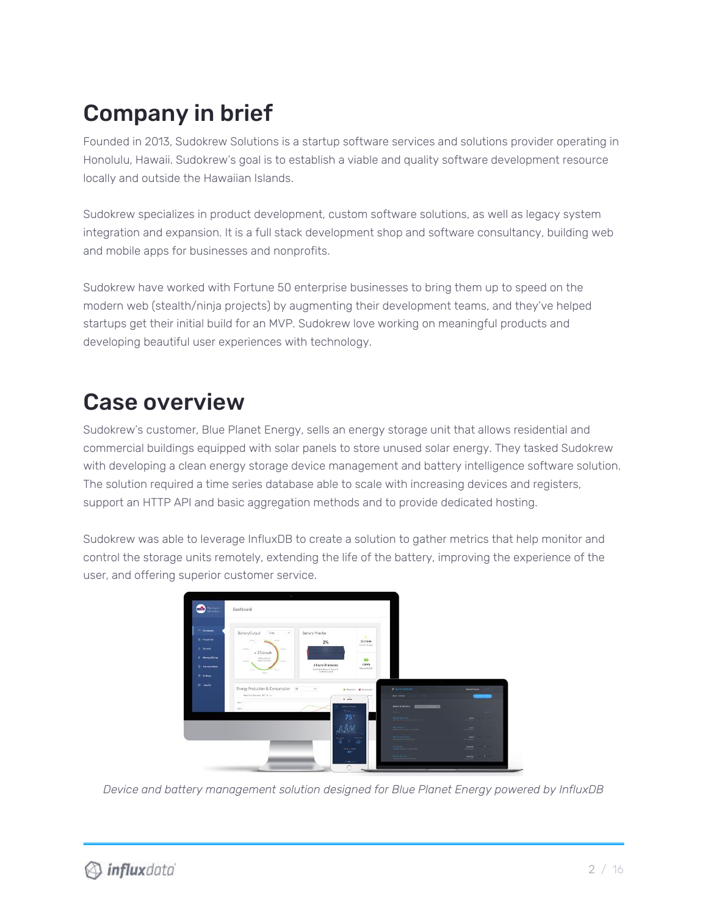# Company in brief

Founded in 2013, Sudokrew Solutions is a startup software services and solutions provider operating in Honolulu, Hawaii. Sudokrew's goal is to establish a viable and quality software development resource locally and outside the Hawaiian Islands.

Sudokrew specializes in product development, custom software solutions, as well as legacy system integration and expansion. It is a full stack development shop and software consultancy, building web and mobile apps for businesses and nonprofits.

Sudokrew have worked with Fortune 50 enterprise businesses to bring them up to speed on the modern web (stealth/ninja projects) by augmenting their development teams, and they've helped startups get their initial build for an MVP. Sudokrew love working on meaningful products and developing beautiful user experiences with technology.

# Case overview

Sudokrew's customer, Blue Planet Energy, sells an energy storage unit that allows residential and commercial buildings equipped with solar panels to store unused solar energy. They tasked Sudokrew with developing a clean energy storage device management and battery intelligence software solution. The solution required a time series database able to scale with increasing devices and registers, support an HTTP API and basic aggregation methods and to provide dedicated hosting.

Sudokrew was able to leverage InfluxDB to create a solution to gather metrics that help monitor and control the storage units remotely, extending the life of the battery, improving the experience of the user, and offering superior customer service.

| 9<br>MacGanit<br>Albitrice                                | Dashboard                                                                                                              |                                                                 |                                               |                                                                                  |                             |
|-----------------------------------------------------------|------------------------------------------------------------------------------------------------------------------------|-----------------------------------------------------------------|-----------------------------------------------|----------------------------------------------------------------------------------|-----------------------------|
| - Coloner -<br><b><i>R. PHARME</i></b><br><b>IT Nower</b> | Battery Output<br>Teller<br>$-96$<br>Texas.<br>$-$<br><b>Carloss</b><br>sensitive and                                  | Battery Monitor<br>2%                                           | ٠<br>1125bW<br>SHYDAGH                        |                                                                                  |                             |
| <b>L. Haven Strive</b><br>О позвитие<br><b>E. Schop</b>   | $+23$ ślowh<br>shed-sneutri<br>tuttor me un it<br><b>Sales</b><br><b>State</b><br><b>ALC</b><br>$\sim$<br><b>STATE</b> | 4 hours 28 minutes<br>Edward Burn of Arrange<br><b>Training</b> | <b>KIO</b><br><b>JERNA</b><br>Honistotel      |                                                                                  |                             |
| <b>Britander</b>                                          | Energy Production & Consumption A<br>Week of Dataset 10-14 w                                                           | $\mathcal{P}$<br>×<br>$k = 1$                                   | <b>B Fictures: B Kenneder</b><br><b>Aug 1</b> | <b>START</b><br>- положени<br><b>NATION</b>                                      | <b>Anno Tierra</b>          |
|                                                           | 24.9<br>$-0.01$                                                                                                        | <b>WASHINGTON</b><br><b>Plant</b><br>75                         |                                               | matches all.<br><b>AND</b><br><b>REMARKS</b>                                     | ويربان<br>mass.<br>.        |
|                                                           |                                                                                                                        | AM<br>$\overline{a}$                                            | <b>Basicours</b><br>as.                       | <b>Harloon</b><br><b>Barbon Green</b>                                            | $-$<br>men.                 |
|                                                           |                                                                                                                        | strate in least.<br>$32^{\circ}$                                |                                               | <b><i><u>Contact</u></i></b><br><b><i>Representation</i></b><br><b>September</b> | - 3-<br>$rac{1}{2}$<br>- 10 |

*Device and battery management solution designed for Blue Planet Energy powered by InfluxDB*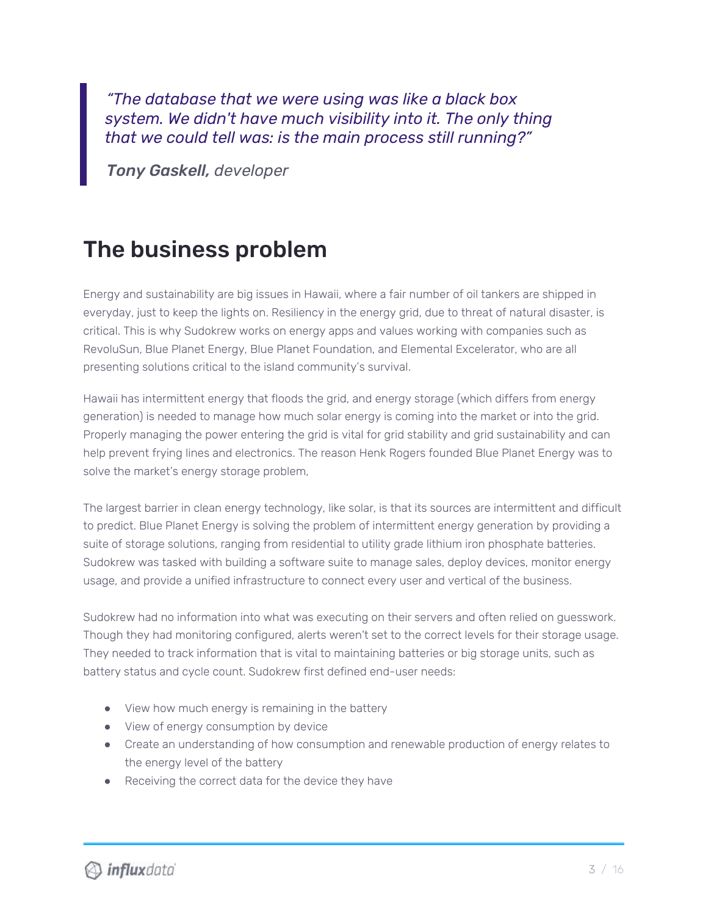*"The database that we were using was like a black box system. We didn't have much visibility into it. The only thing that we could tell was: is the main process still running?"*

*Tony Gaskell, developer*

## The business problem

Energy and sustainability are big issues in Hawaii, where a fair number of oil tankers are shipped in everyday, just to keep the lights on. Resiliency in the energy grid, due to threat of natural disaster, is critical. This is why Sudokrew works on energy apps and values working with companies such as RevoluSun, Blue Planet Energy, Blue Planet Foundation, and Elemental Excelerator, who are all presenting solutions critical to the island community's survival.

Hawaii has intermittent energy that floods the grid, and energy storage (which differs from energy generation) is needed to manage how much solar energy is coming into the market or into the grid. Properly managing the power entering the grid is vital for grid stability and grid sustainability and can help prevent frying lines and electronics. The reason Henk Rogers founded Blue Planet Energy was to solve the market's energy storage problem,

The largest barrier in clean energy technology, like solar, is that its sources are intermittent and difficult to predict. Blue Planet Energy is solving the problem of intermittent energy generation by providing a suite of storage solutions, ranging from residential to utility grade lithium iron phosphate batteries. Sudokrew was tasked with building a software suite to manage sales, deploy devices, monitor energy usage, and provide a unified infrastructure to connect every user and vertical of the business.

Sudokrew had no information into what was executing on their servers and often relied on guesswork. Though they had monitoring configured, alerts weren't set to the correct levels for their storage usage. They needed to track information that is vital to maintaining batteries or big storage units, such as battery status and cycle count. Sudokrew first defined end-user needs:

- View how much energy is remaining in the battery
- View of energy consumption by device
- Create an understanding of how consumption and renewable production of energy relates to the energy level of the battery
- Receiving the correct data for the device they have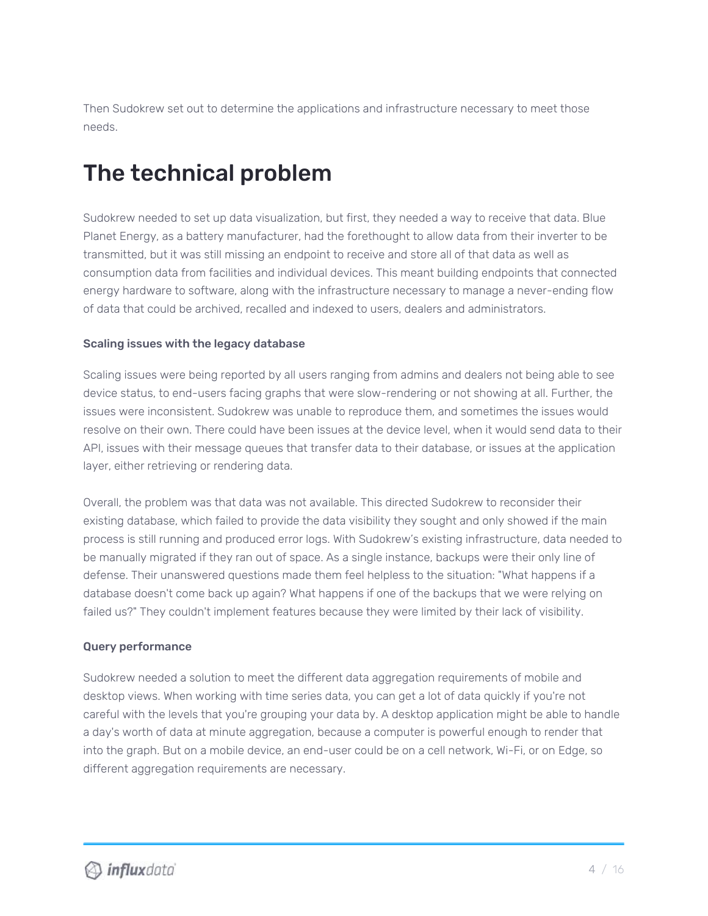Then Sudokrew set out to determine the applications and infrastructure necessary to meet those needs.

## The technical problem

Sudokrew needed to set up data visualization, but first, they needed a way to receive that data. Blue Planet Energy, as a battery manufacturer, had the forethought to allow data from their inverter to be transmitted, but it was still missing an endpoint to receive and store all of that data as well as consumption data from facilities and individual devices. This meant building endpoints that connected energy hardware to software, along with the infrastructure necessary to manage a never-ending flow of data that could be archived, recalled and indexed to users, dealers and administrators.

#### Scaling issues with the legacy database

Scaling issues were being reported by all users ranging from admins and dealers not being able to see device status, to end-users facing graphs that were slow-rendering or not showing at all. Further, the issues were inconsistent. Sudokrew was unable to reproduce them, and sometimes the issues would resolve on their own. There could have been issues at the device level, when it would send data to their API, issues with their message queues that transfer data to their database, or issues at the application layer, either retrieving or rendering data.

Overall, the problem was that data was not available. This directed Sudokrew to reconsider their existing database, which failed to provide the data visibility they sought and only showed if the main process is still running and produced error logs. With Sudokrew's existing infrastructure, data needed to be manually migrated if they ran out of space. As a single instance, backups were their only line of defense. Their unanswered questions made them feel helpless to the situation: "What happens if a database doesn't come back up again? What happens if one of the backups that we were relying on failed us?" They couldn't implement features because they were limited by their lack of visibility.

#### Query performance

Sudokrew needed a solution to meet the different data aggregation requirements of mobile and desktop views. When working with time series data, you can get a lot of data quickly if you're not careful with the levels that you're grouping your data by. A desktop application might be able to handle a day's worth of data at minute aggregation, because a computer is powerful enough to render that into the graph. But on a mobile device, an end-user could be on a cell network, Wi-Fi, or on Edge, so different aggregation requirements are necessary.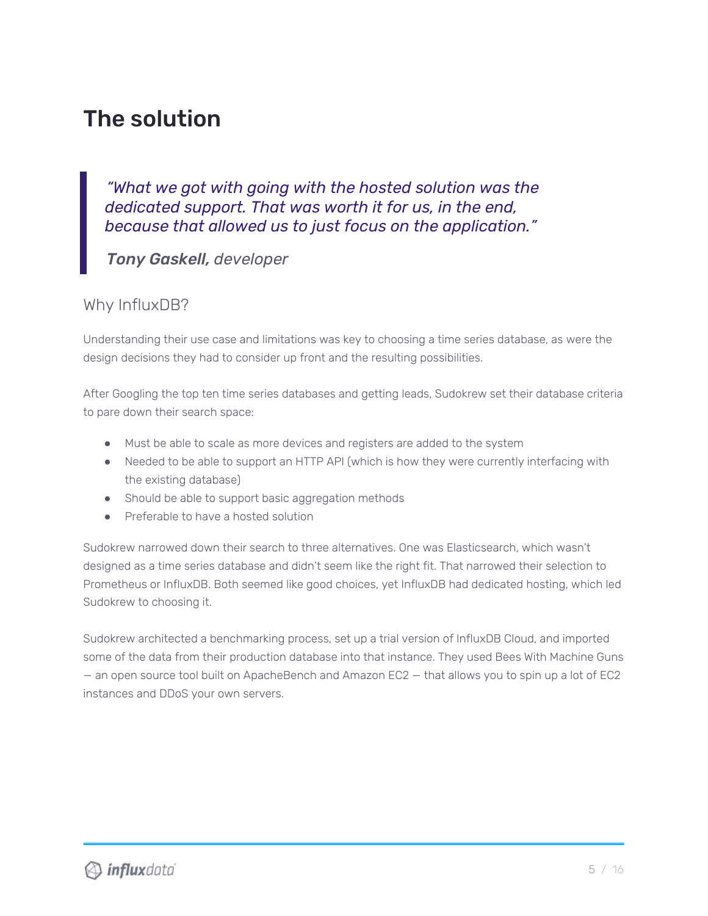## The solution

*"What we got with going with the hosted solution was the dedicated support. That was worth it for us, in the end, because that allowed us to just focus on the application."*

*Tony Gaskell, developer*

## Why InfluxDB?

Understanding their use case and limitations was key to choosing a time series database, as were the design decisions they had to consider up front and the resulting possibilities.

After Googling the top ten time series databases and getting leads, Sudokrew set their database criteria to pare down their search space:

- Must be able to scale as more devices and registers are added to the system
- Needed to be able to support an HTTP API (which is how they were currently interfacing with the existing database)
- Should be able to support basic aggregation methods
- Preferable to have a hosted solution

Sudokrew narrowed down their search to three alternatives. One was Elasticsearch, which wasn't designed as a time series database and didn't seem like the right fit. That narrowed their selection to Prometheus or InfluxDB. Both seemed like good choices, yet InfluxDB had dedicated hosting, which led Sudokrew to choosing it.

Sudokrew architected a benchmarking process, set up a trial version of InfluxDB Cloud, and imported some of the data from their production database into that instance. They used Bees With Machine Guns — an open source tool built on ApacheBench and Amazon EC2 — that allows you to spin up a lot of EC2 instances and DDoS your own servers.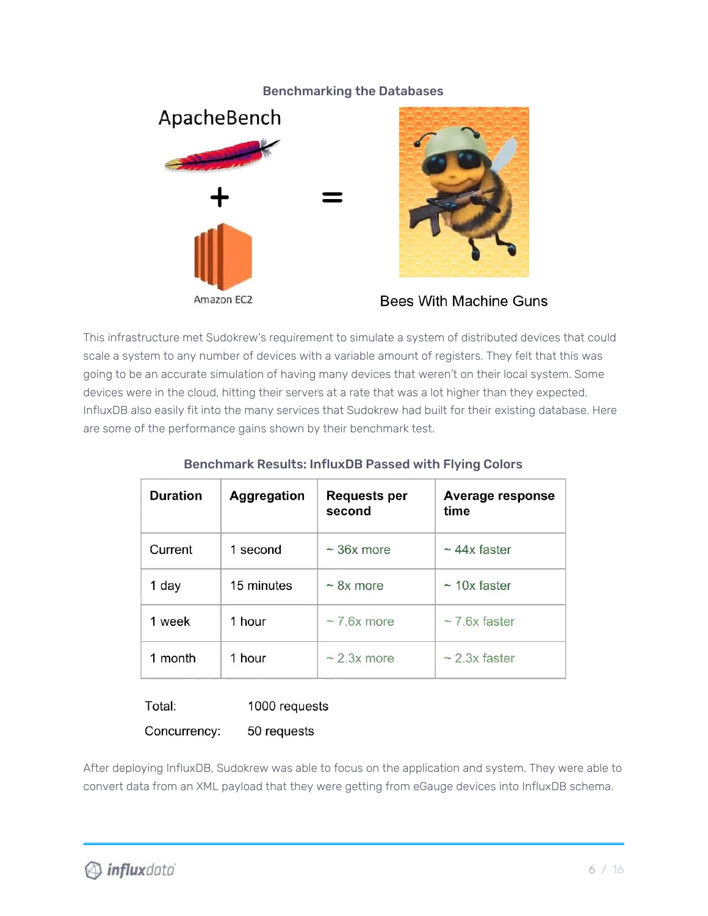#### Benchmarking the Databases





Bees With Machine Guns

This infrastructure met Sudokrew's requirement to simulate a system of distributed devices that could scale a system to any number of devices with a variable amount of registers. They felt that this was going to be an accurate simulation of having many devices that weren't on their local system. Some devices were in the cloud, hitting their servers at a rate that was a lot higher than they expected. InfluxDB also easily fit into the many services that Sudokrew had built for their existing database. Here are some of the performance gains shown by their benchmark test.

| <b>Duration</b> | <b>Aggregation</b> | Requests per<br>second | <b>Average response</b><br>time |
|-----------------|--------------------|------------------------|---------------------------------|
| Current         | 1 second           | $\sim$ 36x more        | $\sim$ 44x faster               |
| 1 day           | 15 minutes         | $\sim$ 8x more         | $\sim$ 10x faster               |
| 1 week          | 1 hour             | $\sim$ 7.6x more       | $\sim$ 7.6x faster              |
| month           | 1 hour             | $\sim$ 2.3x more       | $\sim$ 2.3x faster              |

### Benchmark Results: InfluxDB Passed with Flying Colors

Total: 1000 requests

Concurrency: 50 requests

After deploying InfluxDB, Sudokrew was able to focus on the application and system. They were able to convert data from an XML payload that they were getting from eGauge devices into InfluxDB schema.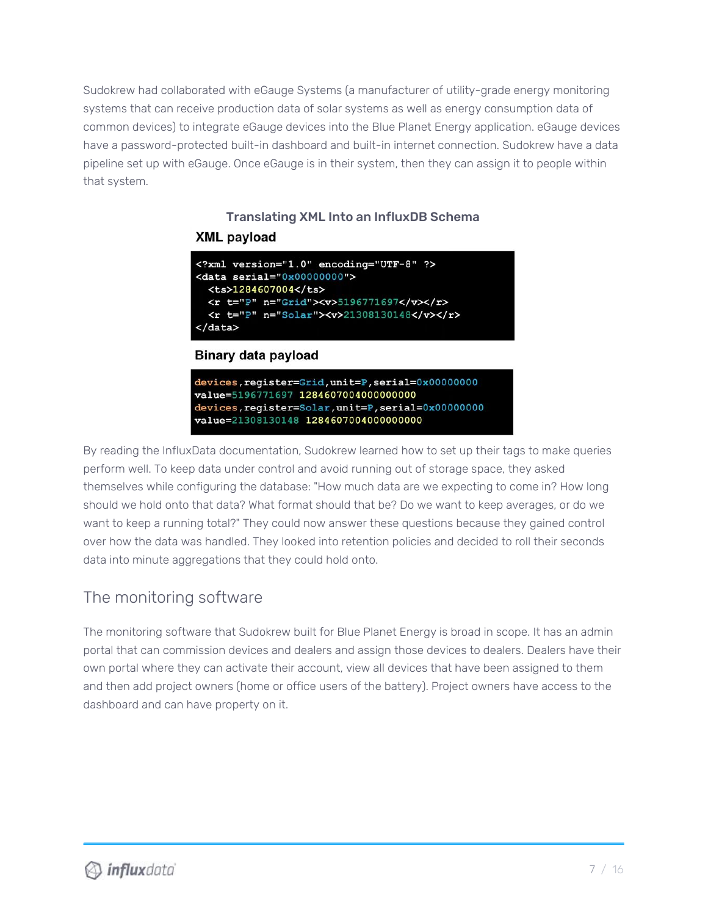Sudokrew had collaborated with eGauge Systems (a manufacturer of utility-grade energy monitoring systems that can receive production data of solar systems as well as energy consumption data of common devices) to integrate eGauge devices into the Blue Planet Energy application. eGauge devices have a password-protected built-in dashboard and built-in internet connection. Sudokrew have a data pipeline set up with eGauge. Once eGauge is in their system, then they can assign it to people within that system.

## Translating XML Into an InfluxDB Schema **XML payload**

```
<? xml version="1.0" encoding="UTF-8" ?>
<data serial="0x00000000">
  <ts>1284607004</ts>
 <r t="P" n="Grid"><v>5196771697</v></r>>
  <r t="P" n="Solar"><v>21308130148</v></r>>
</data>
```
### **Binary data payload**

devices, register=Grid, unit=P, serial=0x00000000 value=5196771697 1284607004000000000 devices, register=Solar, unit=P, serial=0x00000000 value=21308130148 1284607004000000000

By reading the InfluxData documentation, Sudokrew learned how to set up their tags to make queries perform well. To keep data under control and avoid running out of storage space, they asked themselves while configuring the database: "How much data are we expecting to come in? How long should we hold onto that data? What format should that be? Do we want to keep averages, or do we want to keep a running total?" They could now answer these questions because they gained control over how the data was handled. They looked into retention policies and decided to roll their seconds data into minute aggregations that they could hold onto.

## The monitoring software

The monitoring software that Sudokrew built for Blue Planet Energy is broad in scope. It has an admin portal that can commission devices and dealers and assign those devices to dealers. Dealers have their own portal where they can activate their account, view all devices that have been assigned to them and then add project owners (home or office users of the battery). Project owners have access to the dashboard and can have property on it.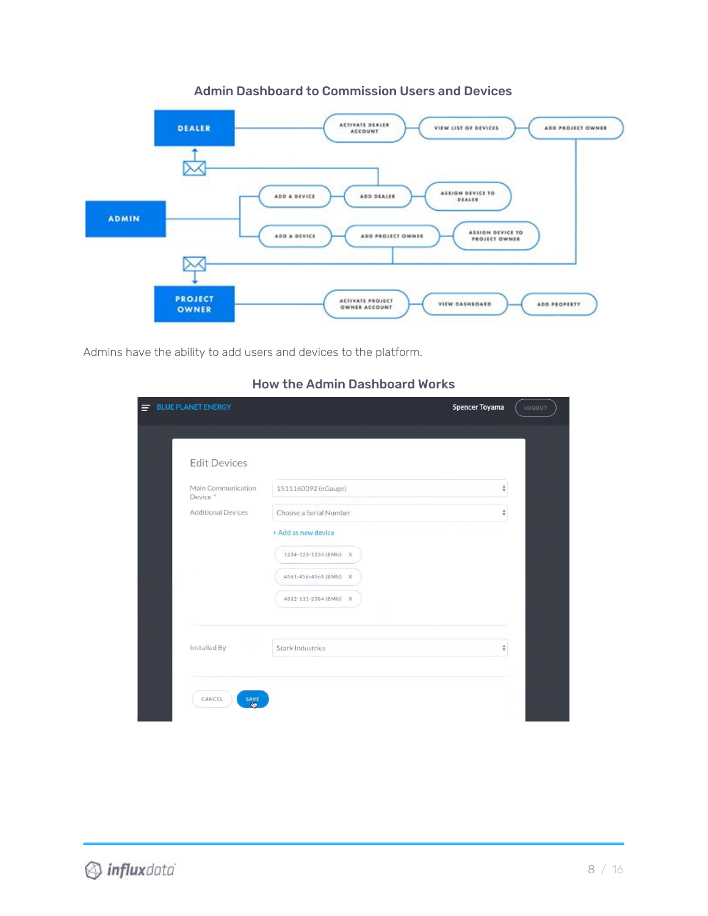

#### Admin Dashboard to Commission Users and Devices

Admins have the ability to add users and devices to the platform.

| <b>Edit Devices</b>            |                                                                                                |   |
|--------------------------------|------------------------------------------------------------------------------------------------|---|
| Main Communication<br>Device * | 1511160092 (eGauge)                                                                            | ÷ |
| <b>Additional Devices</b>      | Choose a Serial Number                                                                         | ÷ |
|                                | + Add as new device<br>1234-123-1234 (BMU) X<br>4561-456-4561 (BMU) X<br>4832-111-2384 (BMU) X |   |
| Installed By                   | Stark Industries                                                                               | ÷ |

### How the Admin Dashboard Works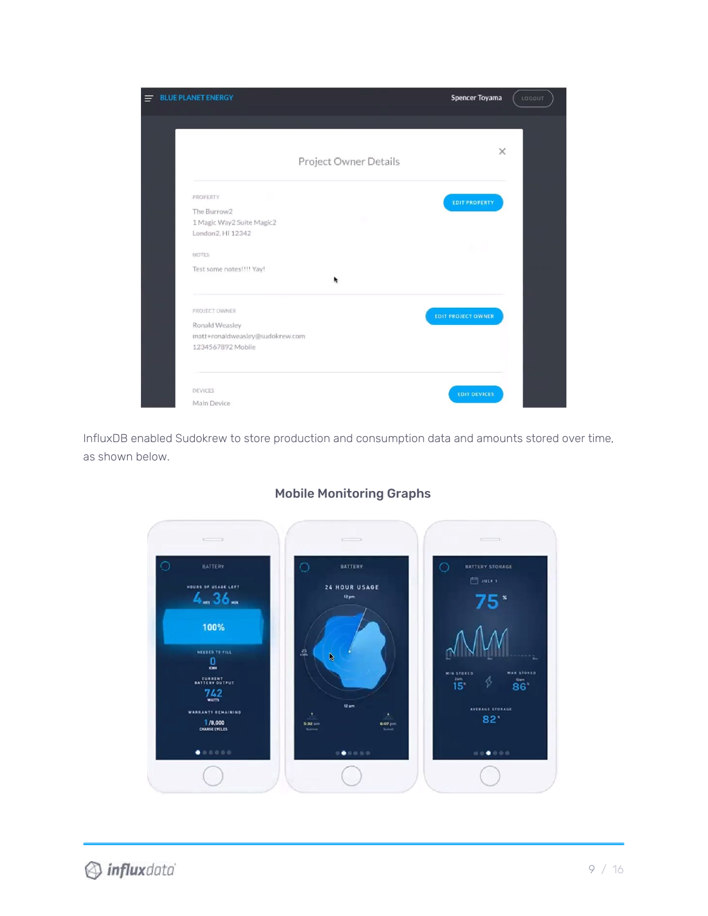

InfluxDB enabled Sudokrew to store production and consumption data and amounts stored over time, as shown below.



### Mobile Monitoring Graphs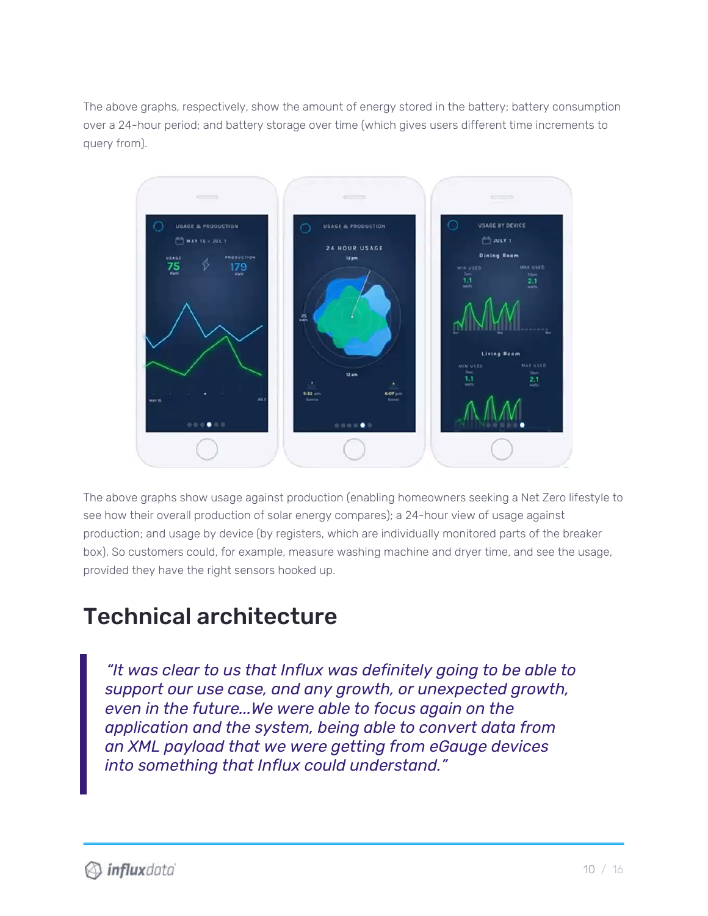The above graphs, respectively, show the amount of energy stored in the battery; battery consumption over a 24-hour period; and battery storage over time (which gives users different time increments to query from).



The above graphs show usage against production (enabling homeowners seeking a Net Zero lifestyle to see how their overall production of solar energy compares); a 24-hour view of usage against production; and usage by device (by registers, which are individually monitored parts of the breaker box). So customers could, for example, measure washing machine and dryer time, and see the usage, provided they have the right sensors hooked up.

## Technical architecture

*"It was clear to us that Influx was definitely going to be able to support our use case, and any growth, or unexpected growth, even in the future...We were able to focus again on the application and the system, being able to convert data from an XML payload that we were getting from eGauge devices into something that Influx could understand."*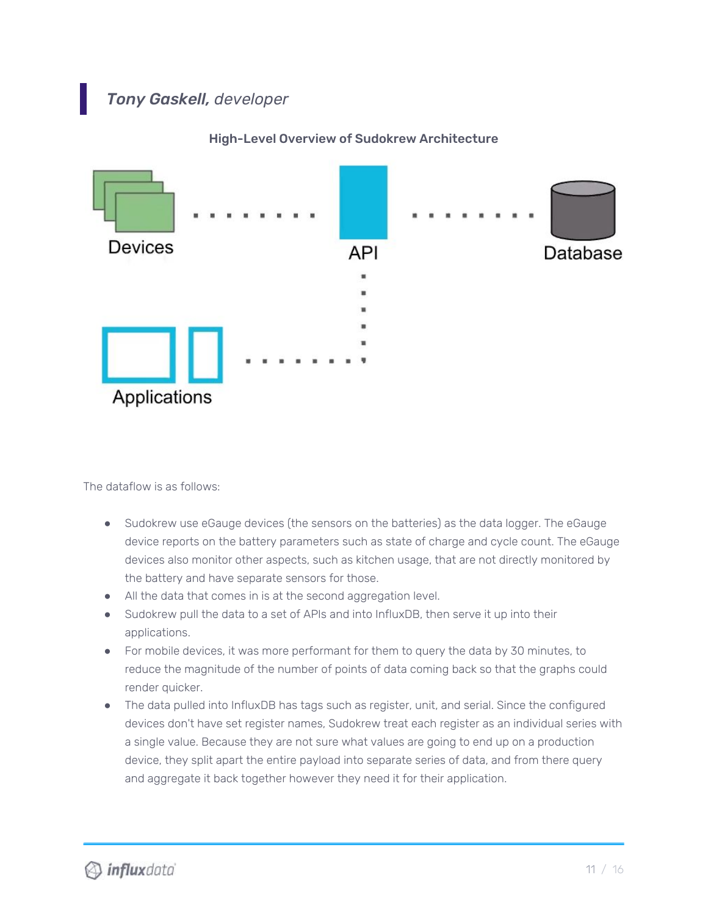## *Tony Gaskell, developer*



High-Level Overview of Sudokrew Architecture

The dataflow is as follows:

- Sudokrew use eGauge devices (the sensors on the batteries) as the data logger. The eGauge device reports on the battery parameters such as state of charge and cycle count. The eGauge devices also monitor other aspects, such as kitchen usage, that are not directly monitored by the battery and have separate sensors for those.
- All the data that comes in is at the second aggregation level.
- Sudokrew pull the data to a set of APIs and into InfluxDB, then serve it up into their applications.
- For mobile devices, it was more performant for them to query the data by 30 minutes, to reduce the magnitude of the number of points of data coming back so that the graphs could render quicker.
- The data pulled into InfluxDB has tags such as register, unit, and serial. Since the configured devices don't have set register names, Sudokrew treat each register as an individual series with a single value. Because they are not sure what values are going to end up on a production device, they split apart the entire payload into separate series of data, and from there query and aggregate it back together however they need it for their application.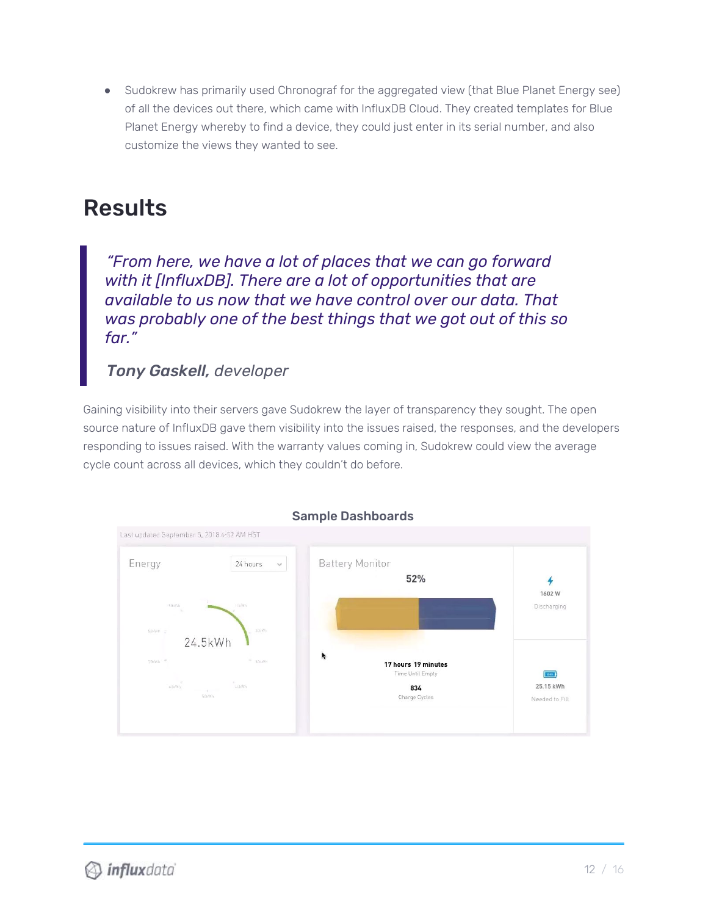• Sudokrew has primarily used Chronograf for the aggregated view (that Blue Planet Energy see) of all the devices out there, which came with InfluxDB Cloud. They created templates for Blue Planet Energy whereby to find a device, they could just enter in its serial number, and also customize the views they wanted to see.

## Results

*"From here, we have a lot of places that we can go forward with it [InfluxDB]. There are a lot of opportunities that are available to us now that we have control over our data. That was probably one of the best things that we got out of this so far."*

## *Tony Gaskell, developer*

Gaining visibility into their servers gave Sudokrew the layer of transparency they sought. The open source nature of InfluxDB gave them visibility into the issues raised, the responses, and the developers responding to issues raised. With the warranty values coming in, Sudokrew could view the average cycle count across all devices, which they couldn't do before.



### Sample Dashboards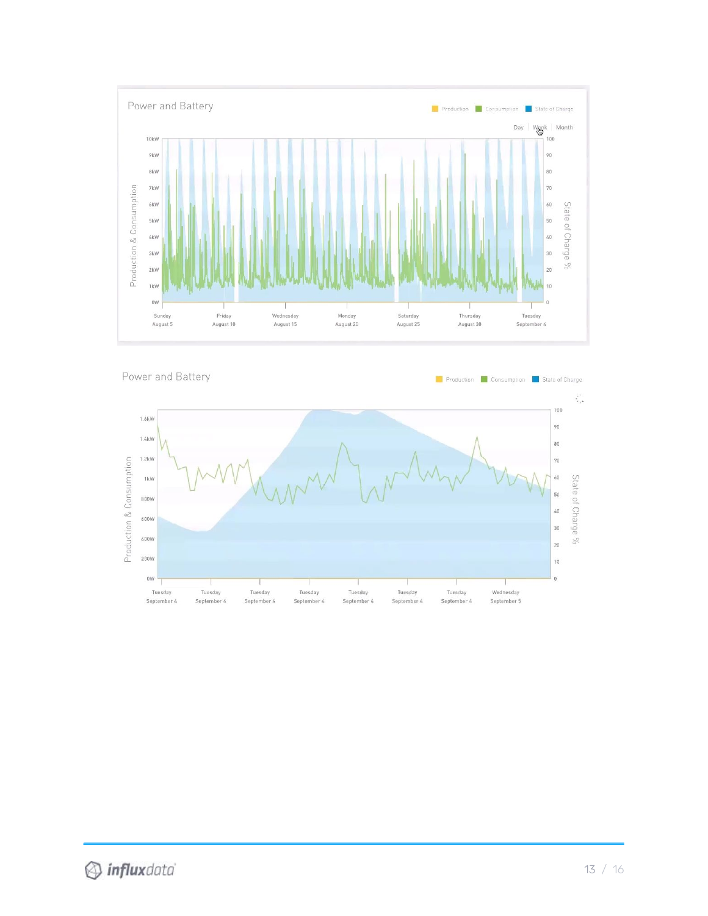

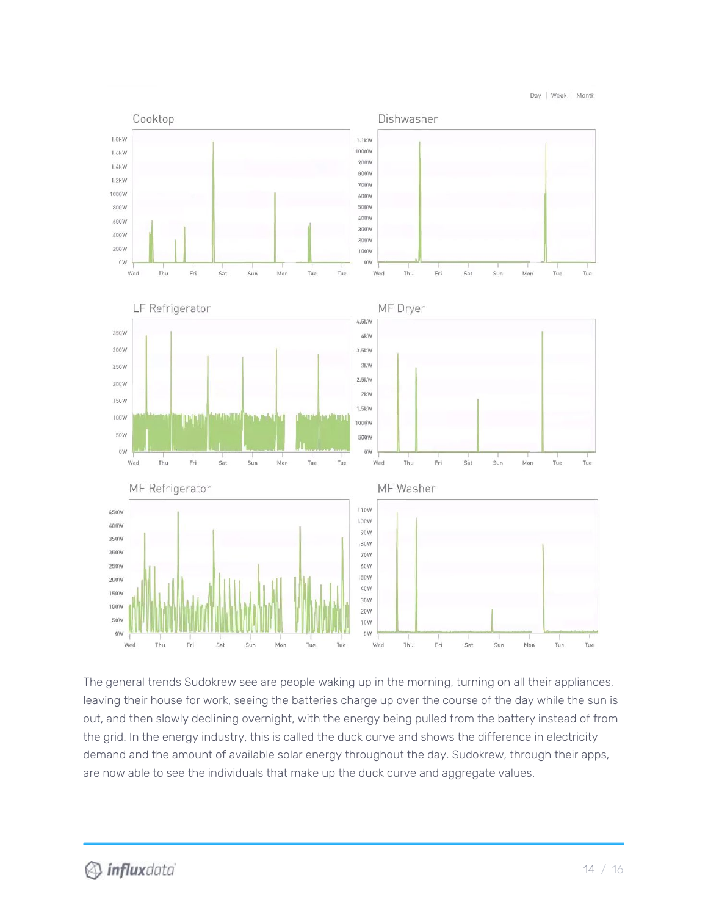Day | Week | Month



The general trends Sudokrew see are people waking up in the morning, turning on all their appliances, leaving their house for work, seeing the batteries charge up over the course of the day while the sun is out, and then slowly declining overnight, with the energy being pulled from the battery instead of from the grid. In the energy industry, this is called the duck curve and shows the difference in electricity demand and the amount of available solar energy throughout the day. Sudokrew, through their apps, are now able to see the individuals that make up the duck curve and aggregate values.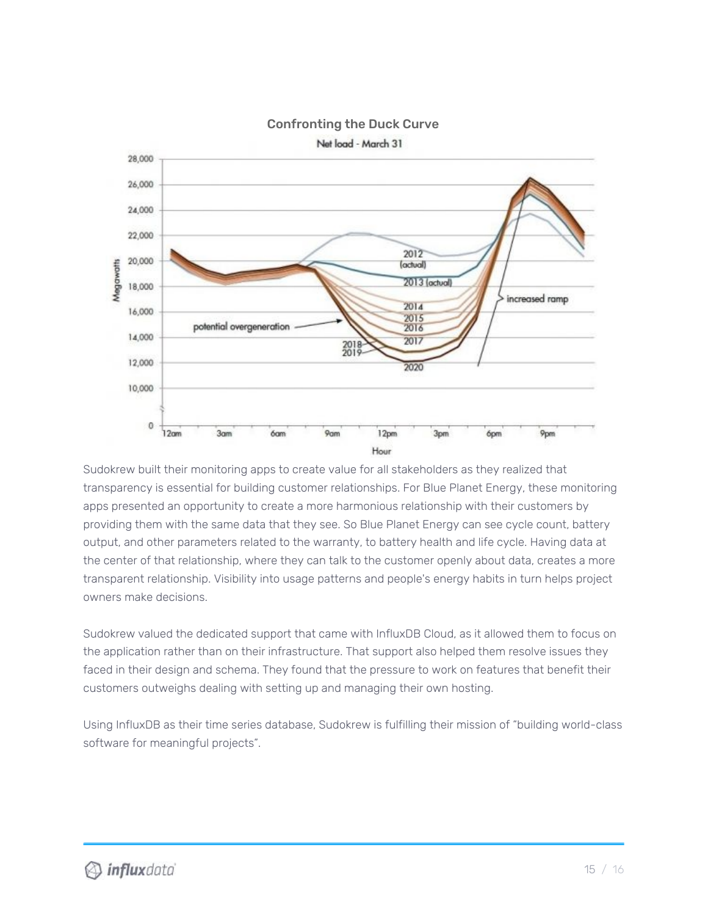

### Confronting the Duck Curve

Sudokrew built their monitoring apps to create value for all stakeholders as they realized that transparency is essential for building customer relationships. For Blue Planet Energy, these monitoring apps presented an opportunity to create a more harmonious relationship with their customers by providing them with the same data that they see. So Blue Planet Energy can see cycle count, battery output, and other parameters related to the warranty, to battery health and life cycle. Having data at the center of that relationship, where they can talk to the customer openly about data, creates a more transparent relationship. Visibility into usage patterns and people's energy habits in turn helps project owners make decisions.

Sudokrew valued the dedicated support that came with InfluxDB Cloud, as it allowed them to focus on the application rather than on their infrastructure. That support also helped them resolve issues they faced in their design and schema. They found that the pressure to work on features that benefit their customers outweighs dealing with setting up and managing their own hosting.

Using InfluxDB as their time series database, Sudokrew is fulfilling their mission of "building world-class software for meaningful projects".